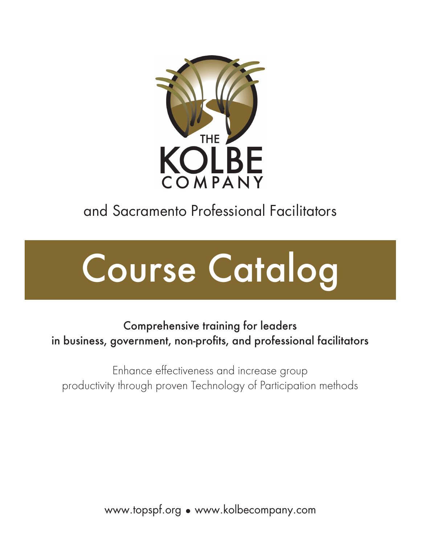

# and Sacramento Professional Facilitators



# Comprehensive training for leaders in business, government, non-profits, and professional facilitators

Enhance effectiveness and increase group productivity through proven Technology of Participation methods

www.topspf.org • www.kolbecompany.com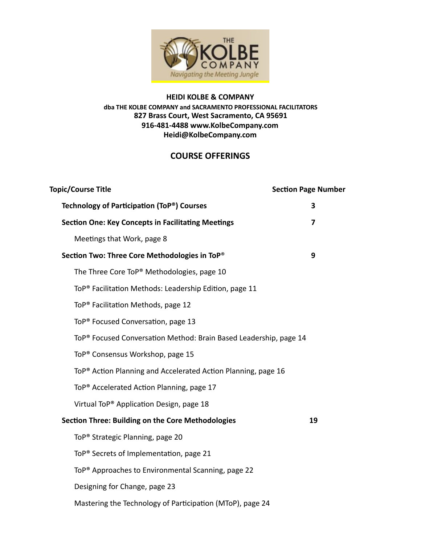

#### **HEIDI KOLBE & COMPANY** dba THE KOLBE COMPANY and SACRAMENTO PROFESSIONAL FACILITATORS **827 Brass Court, West Sacramento, CA 95691 916-481-448[8 www.KolbeCompany.com](http://www.kolbecompany.com/) Heidi@KolbeCompany.com**

#### **COURSE OFFERINGS**

| <b>Topic/Course Title</b>                                                     | <b>Section Page Number</b> |
|-------------------------------------------------------------------------------|----------------------------|
| Technology of Participation (ToP®) Courses                                    | 3                          |
| <b>Section One: Key Concepts in Facilitating Meetings</b>                     | 7                          |
| Meetings that Work, page 8                                                    |                            |
| Section Two: Three Core Methodologies in ToP®                                 | 9                          |
| The Three Core ToP® Methodologies, page 10                                    |                            |
| ToP <sup>®</sup> Facilitation Methods: Leadership Edition, page 11            |                            |
| ToP <sup>®</sup> Facilitation Methods, page 12                                |                            |
| ToP <sup>®</sup> Focused Conversation, page 13                                |                            |
| ToP <sup>®</sup> Focused Conversation Method: Brain Based Leadership, page 14 |                            |
| ToP <sup>®</sup> Consensus Workshop, page 15                                  |                            |
| ToP <sup>®</sup> Action Planning and Accelerated Action Planning, page 16     |                            |
| ToP <sup>®</sup> Accelerated Action Planning, page 17                         |                            |
| Virtual ToP <sup>®</sup> Application Design, page 18                          |                            |
| Section Three: Building on the Core Methodologies                             | 19                         |
| ToP <sup>®</sup> Strategic Planning, page 20                                  |                            |
| ToP <sup>®</sup> Secrets of Implementation, page 21                           |                            |
| ToP <sup>®</sup> Approaches to Environmental Scanning, page 22                |                            |
| Designing for Change, page 23                                                 |                            |
| Mastering the Technology of Participation (MToP), page 24                     |                            |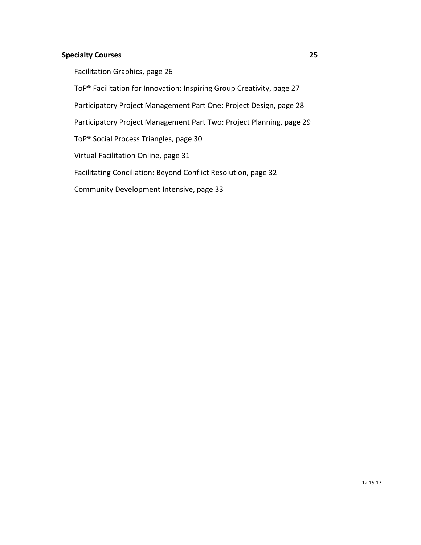#### **Specialty Courses 25**

Facilitation Graphics, page 26

ToP® Facilitation for Innovation: Inspiring Group Creativity, page 27

Participatory Project Management Part One: Project Design, page 28

Participatory Project Management Part Two: Project Planning, page 29

ToP® Social Process Triangles, page 30

Virtual Facilitation Online, page 31

Facilitating Conciliation: Beyond Conflict Resolution, page 32

Community Development Intensive, page 33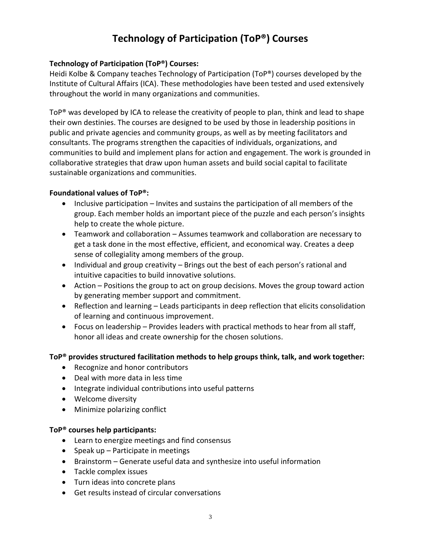# **Technology of Participation (ToP®) Courses**

#### **Technology of Participation (ToP®) Courses:**

Heidi Kolbe & Company teaches Technology of Participation (ToP®) courses developed by the Institute of Cultural Affairs (ICA). These methodologies have been tested and used extensively throughout the world in many organizations and communities.

ToP<sup>®</sup> was developed by ICA to release the creativity of people to plan, think and lead to shape their own destinies. The courses are designed to be used by those in leadership positions in public and private agencies and community groups, as well as by meeting facilitators and consultants. The programs strengthen the capacities of individuals, organizations, and communities to build and implement plans for action and engagement. The work is grounded in collaborative strategies that draw upon human assets and build social capital to facilitate sustainable organizations and communities.

#### **Foundational values of ToP®:**

- Inclusive participation Invites and sustains the participation of all members of the group. Each member holds an important piece of the puzzle and each person's insights help to create the whole picture.
- Teamwork and collaboration Assumes teamwork and collaboration are necessary to get a task done in the most effective, efficient, and economical way. Creates a deep sense of collegiality among members of the group.
- Individual and group creativity Brings out the best of each person's rational and intuitive capacities to build innovative solutions.
- Action Positions the group to act on group decisions. Moves the group toward action by generating member support and commitment.
- Reflection and learning Leads participants in deep reflection that elicits consolidation of learning and continuous improvement.
- Focus on leadership Provides leaders with practical methods to hear from all staff, honor all ideas and create ownership for the chosen solutions.

#### **ToP® provides structured facilitation methods to help groups think, talk, and work together:**

- Recognize and honor contributors
- Deal with more data in less time
- Integrate individual contributions into useful patterns
- Welcome diversity
- Minimize polarizing conflict

#### **ToP® courses help participants:**

- Learn to energize meetings and find consensus
- Speak up Participate in meetings
- Brainstorm Generate useful data and synthesize into useful information
- Tackle complex issues
- Turn ideas into concrete plans
- Get results instead of circular conversations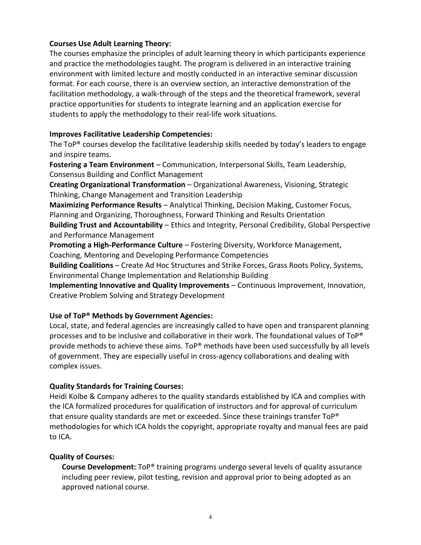#### **Courses Use Adult Learning Theory:**

The courses emphasize the principles of adult learning theory in which participants experience and practice the methodologies taught. The program is delivered in an interactive training environment with limited lecture and mostly conducted in an interactive seminar discussion format. For each course, there is an overview section, an interactive demonstration of the facilitation methodology, a walk-through of the steps and the theoretical framework, several practice opportunities for students to integrate learning and an application exercise for students to apply the methodology to their real-life work situations.

#### **Improves Facilitative Leadership Competencies:**

The ToP® courses develop the facilitative leadership skills needed by today's leaders to engage and inspire teams.

**Fostering a Team Environment** – Communication, Interpersonal Skills, Team Leadership, Consensus Building and Conflict Management

**Creating Organizational Transformation** – Organizational Awareness, Visioning, Strategic Thinking, Change Management and Transition Leadership

**Maximizing Performance Results** – Analytical Thinking, Decision Making, Customer Focus, Planning and Organizing, Thoroughness, Forward Thinking and Results Orientation

**Building Trust and Accountability** – Ethics and Integrity, Personal Credibility, Global Perspective and Performance Management

**Promoting a High-Performance Culture** – Fostering Diversity, Workforce Management, Coaching, Mentoring and Developing Performance Competencies

**Building Coalitions** – Create Ad Hoc Structures and Strike Forces, Grass Roots Policy, Systems, Environmental Change Implementation and Relationship Building

**Implementing Innovative and Quality Improvements** – Continuous Improvement, Innovation, Creative Problem Solving and Strategy Development

#### **Use of ToP® Methods by Government Agencies:**

Local, state, and federal agencies are increasingly called to have open and transparent planning processes and to be inclusive and collaborative in their work. The foundational values of ToP® provide methods to achieve these aims. ToP® methods have been used successfully by all levels of government. They are especially useful in cross-agency collaborations and dealing with complex issues.

#### **Quality Standards for Training Courses:**

Heidi Kolbe & Company adheres to the quality standards established by ICA and complies with the ICA formalized procedures for qualification of instructors and for approval of curriculum that ensure quality standards are met or exceeded. Since these trainings transfer ToP® methodologies for which ICA holds the copyright, appropriate royalty and manual fees are paid to ICA.

#### **Quality of Courses:**

**Course Development:** ToP® training programs undergo several levels of quality assurance including peer review, pilot testing, revision and approval prior to being adopted as an approved national course.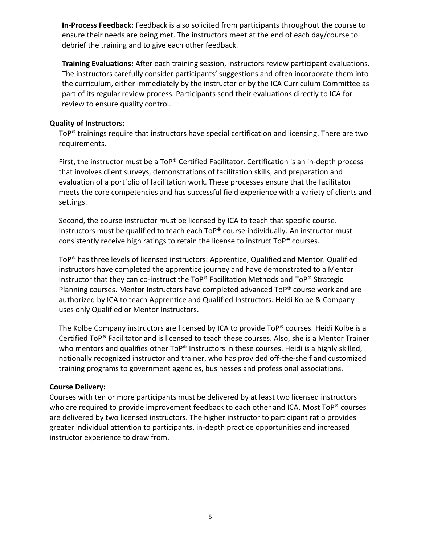**In-Process Feedback:** Feedback is also solicited from participants throughout the course to ensure their needs are being met. The instructors meet at the end of each day/course to debrief the training and to give each other feedback.

**Training Evaluations:** After each training session, instructors review participant evaluations. The instructors carefully consider participants' suggestions and often incorporate them into the curriculum, either immediately by the instructor or by the ICA Curriculum Committee as part of its regular review process. Participants send their evaluations directly to ICA for review to ensure quality control.

#### **Quality of Instructors:**

ToP® trainings require that instructors have special certification and licensing. There are two requirements.

First, the instructor must be a ToP® Certified Facilitator. Certification is an in-depth process that involves client surveys, demonstrations of facilitation skills, and preparation and evaluation of a portfolio of facilitation work. These processes ensure that the facilitator meets the core competencies and has successful field experience with a variety of clients and settings.

Second, the course instructor must be licensed by ICA to teach that specific course. Instructors must be qualified to teach each ToP® course individually. An instructor must consistently receive high ratings to retain the license to instruct ToP® courses.

ToP® has three levels of licensed instructors: Apprentice, Qualified and Mentor. Qualified instructors have completed the apprentice journey and have demonstrated to a Mentor Instructor that they can co-instruct the ToP® Facilitation Methods and ToP® Strategic Planning courses. Mentor Instructors have completed advanced ToP® course work and are authorized by ICA to teach Apprentice and Qualified Instructors. Heidi Kolbe & Company uses only Qualified or Mentor Instructors.

The Kolbe Company instructors are licensed by ICA to provide ToP® courses. Heidi Kolbe is a Certified ToP® Facilitator and is licensed to teach these courses. Also, she is a Mentor Trainer who mentors and qualifies other ToP® Instructors in these courses. Heidi is a highly skilled, nationally recognized instructor and trainer, who has provided off-the-shelf and customized training programs to government agencies, businesses and professional associations.

#### **Course Delivery:**

Courses with ten or more participants must be delivered by at least two licensed instructors who are required to provide improvement feedback to each other and ICA. Most ToP® courses are delivered by two licensed instructors. The higher instructor to participant ratio provides greater individual attention to participants, in-depth practice opportunities and increased instructor experience to draw from.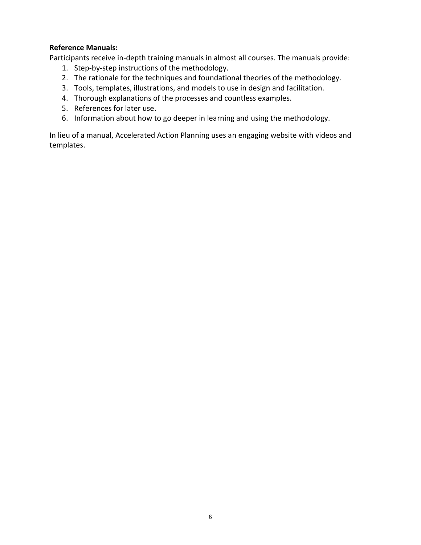#### **Reference Manuals:**

Participants receive in-depth training manuals in almost all courses. The manuals provide:

- 1. Step-by-step instructions of the methodology.
- 2. The rationale for the techniques and foundational theories of the methodology.
- 3. Tools, templates, illustrations, and models to use in design and facilitation.
- 4. Thorough explanations of the processes and countless examples.
- 5. References for later use.
- 6. Information about how to go deeper in learning and using the methodology.

In lieu of a manual, Accelerated Action Planning uses an engaging website with videos and templates.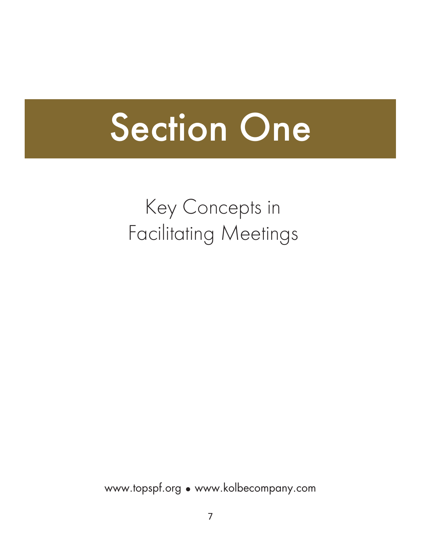# Section One

# Key Concepts in Facilitating Meetings

www.topspf.org • www.kolbecompany.com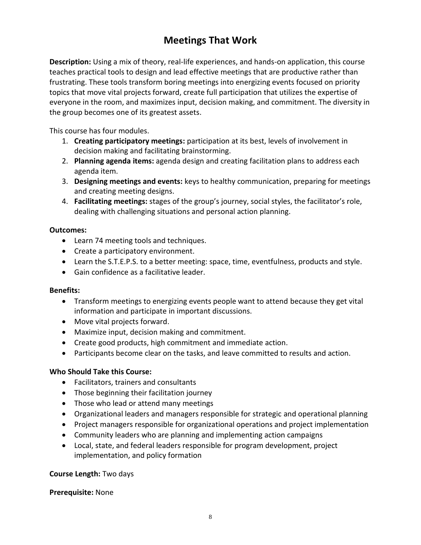# **Meetings That Work**

**Description:** Using a mix of theory, real-life experiences, and hands-on application, this course teaches practical tools to design and lead effective meetings that are productive rather than frustrating. These tools transform boring meetings into energizing events focused on priority topics that move vital projects forward, create full participation that utilizes the expertise of everyone in the room, and maximizes input, decision making, and commitment. The diversity in the group becomes one of its greatest assets.

This course has four modules.

- 1. **Creating participatory meetings:** participation at its best, levels of involvement in decision making and facilitating brainstorming.
- 2. **Planning agenda items:** agenda design and creating facilitation plans to address each agenda item.
- 3. **Designing meetings and events:** keys to healthy communication, preparing for meetings and creating meeting designs.
- 4. **Facilitating meetings:** stages of the group's journey, social styles, the facilitator's role, dealing with challenging situations and personal action planning.

#### **Outcomes:**

- Learn 74 meeting tools and techniques.
- Create a participatory environment.
- Learn the S.T.E.P.S. to a better meeting: space, time, eventfulness, products and style.
- Gain confidence as a facilitative leader.

#### **Benefits:**

- Transform meetings to energizing events people want to attend because they get vital information and participate in important discussions.
- Move vital projects forward.
- Maximize input, decision making and commitment.
- Create good products, high commitment and immediate action.
- Participants become clear on the tasks, and leave committed to results and action.

#### **Who Should Take this Course:**

- Facilitators, trainers and consultants
- Those beginning their facilitation journey
- Those who lead or attend many meetings
- Organizational leaders and managers responsible for strategic and operational planning
- Project managers responsible for organizational operations and project implementation
- Community leaders who are planning and implementing action campaigns
- Local, state, and federal leaders responsible for program development, project implementation, and policy formation

#### **Course Length:** Two days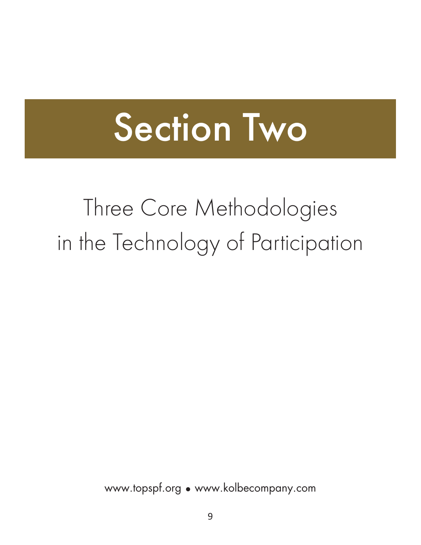# Section Two

# Three Core Methodologies in the Technology of Participation

www.topspf.org • www.kolbecompany.com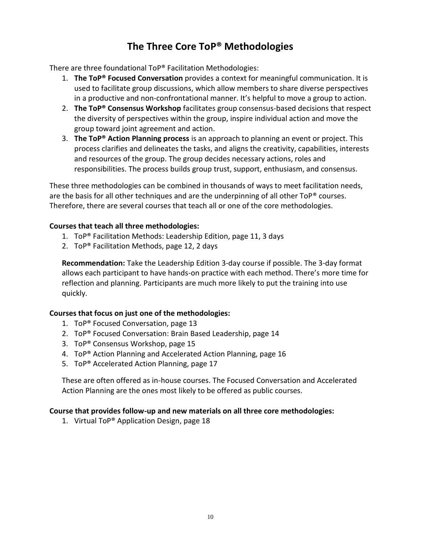## **The Three Core ToP® Methodologies**

There are three foundational ToP® Facilitation Methodologies:

- 1. **The ToP® Focused Conversation** provides a context for meaningful communication. It is used to facilitate group discussions, which allow members to share diverse perspectives in a productive and non-confrontational manner. It's helpful to move a group to action.
- 2. **The ToP® Consensus Workshop** facilitates group consensus-based decisions that respect the diversity of perspectives within the group, inspire individual action and move the group toward joint agreement and action.
- 3. **The ToP® Action Planning process** is an approach to planning an event or project. This process clarifies and delineates the tasks, and aligns the creativity, capabilities, interests and resources of the group. The group decides necessary actions, roles and responsibilities. The process builds group trust, support, enthusiasm, and consensus.

These three methodologies can be combined in thousands of ways to meet facilitation needs, are the basis for all other techniques and are the underpinning of all other ToP® courses. Therefore, there are several courses that teach all or one of the core methodologies.

#### **Courses that teach all three methodologies:**

- 1. ToP® Facilitation Methods: Leadership Edition, page 11, 3 days
- 2. ToP® Facilitation Methods, page 12, 2 days

**Recommendation:** Take the Leadership Edition 3-day course if possible. The 3-day format allows each participant to have hands-on practice with each method. There's more time for reflection and planning. Participants are much more likely to put the training into use quickly.

#### **Courses that focus on just one of the methodologies:**

- 1. ToP® Focused Conversation, page 13
- 2. ToP® Focused Conversation: Brain Based Leadership, page 14
- 3. ToP® Consensus Workshop, page 15
- 4. ToP® Action Planning and Accelerated Action Planning, page 16
- 5. ToP® Accelerated Action Planning, page 17

These are often offered as in-house courses. The Focused Conversation and Accelerated Action Planning are the ones most likely to be offered as public courses.

#### **Course that provides follow-up and new materials on all three core methodologies:**

1. Virtual ToP® Application Design, page 18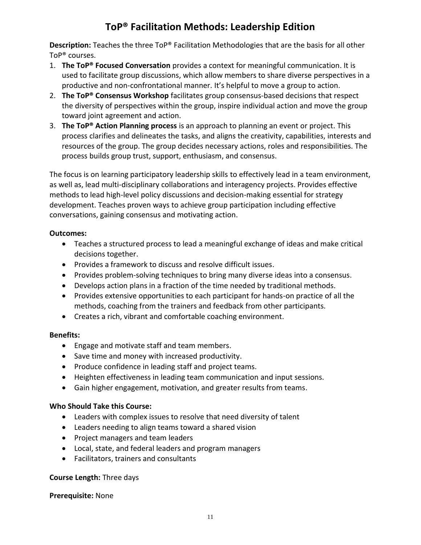## **ToP® Facilitation Methods: Leadership Edition**

**Description:** Teaches the three ToP® Facilitation Methodologies that are the basis for all other ToP® courses.

- 1. **The ToP® Focused Conversation** provides a context for meaningful communication. It is used to facilitate group discussions, which allow members to share diverse perspectives in a productive and non-confrontational manner. It's helpful to move a group to action.
- 2. **The ToP® Consensus Workshop** facilitates group consensus-based decisions that respect the diversity of perspectives within the group, inspire individual action and move the group toward joint agreement and action.
- 3. **The ToP® Action Planning process** is an approach to planning an event or project. This process clarifies and delineates the tasks, and aligns the creativity, capabilities, interests and resources of the group. The group decides necessary actions, roles and responsibilities. The process builds group trust, support, enthusiasm, and consensus.

The focus is on learning participatory leadership skills to effectively lead in a team environment, as well as, lead multi-disciplinary collaborations and interagency projects. Provides effective methods to lead high-level policy discussions and decision-making essential for strategy development. Teaches proven ways to achieve group participation including effective conversations, gaining consensus and motivating action.

#### **Outcomes:**

- Teaches a structured process to lead a meaningful exchange of ideas and make critical decisions together.
- Provides a framework to discuss and resolve difficult issues.
- Provides problem-solving techniques to bring many diverse ideas into a consensus.
- Develops action plans in a fraction of the time needed by traditional methods.
- Provides extensive opportunities to each participant for hands-on practice of all the methods, coaching from the trainers and feedback from other participants.
- Creates a rich, vibrant and comfortable coaching environment.

#### **Benefits:**

- Engage and motivate staff and team members.
- Save time and money with increased productivity.
- Produce confidence in leading staff and project teams.
- Heighten effectiveness in leading team communication and input sessions.
- Gain higher engagement, motivation, and greater results from teams.

#### **Who Should Take this Course:**

- Leaders with complex issues to resolve that need diversity of talent
- Leaders needing to align teams toward a shared vision
- Project managers and team leaders
- Local, state, and federal leaders and program managers
- Facilitators, trainers and consultants

#### **Course Length:** Three days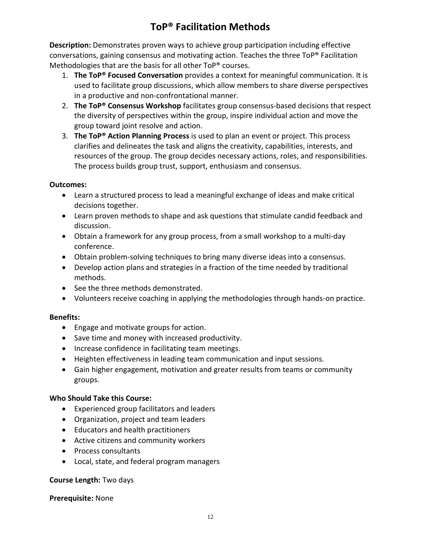# **ToP® Facilitation Methods**

**Description:** Demonstrates proven ways to achieve group participation including effective conversations, gaining consensus and motivating action. Teaches the three ToP® Facilitation Methodologies that are the basis for all other ToP® courses.

- 1. **The ToP® Focused Conversation** provides a context for meaningful communication. It is used to facilitate group discussions, which allow members to share diverse perspectives in a productive and non-confrontational manner.
- 2. **The ToP® Consensus Workshop** facilitates group consensus-based decisions that respect the diversity of perspectives within the group, inspire individual action and move the group toward joint resolve and action.
- 3. **The ToP® Action Planning Process** is used to plan an event or project. This process clarifies and delineates the task and aligns the creativity, capabilities, interests, and resources of the group. The group decides necessary actions, roles, and responsibilities. The process builds group trust, support, enthusiasm and consensus.

#### **Outcomes:**

- Learn a structured process to lead a meaningful exchange of ideas and make critical decisions together.
- Learn proven methods to shape and ask questions that stimulate candid feedback and discussion.
- Obtain a framework for any group process, from a small workshop to a multi-day conference.
- Obtain problem-solving techniques to bring many diverse ideas into a consensus.
- Develop action plans and strategies in a fraction of the time needed by traditional methods.
- See the three methods demonstrated.
- Volunteers receive coaching in applying the methodologies through hands-on practice.

#### **Benefits:**

- Engage and motivate groups for action.
- Save time and money with increased productivity.
- Increase confidence in facilitating team meetings.
- Heighten effectiveness in leading team communication and input sessions.
- Gain higher engagement, motivation and greater results from teams or community groups.

#### **Who Should Take this Course:**

- Experienced group facilitators and leaders
- Organization, project and team leaders
- Educators and health practitioners
- Active citizens and community workers
- Process consultants
- Local, state, and federal program managers

#### **Course Length:** Two days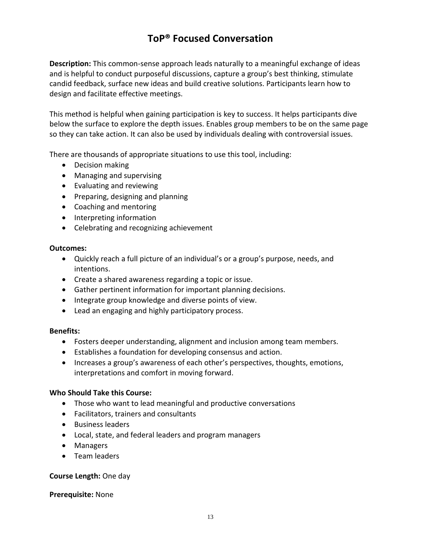### **ToP® Focused Conversation**

**Description:** This common-sense approach leads naturally to a meaningful exchange of ideas and is helpful to conduct purposeful discussions, capture a group's best thinking, stimulate candid feedback, surface new ideas and build creative solutions. Participants learn how to design and facilitate effective meetings.

This method is helpful when gaining participation is key to success. It helps participants dive below the surface to explore the depth issues. Enables group members to be on the same page so they can take action. It can also be used by individuals dealing with controversial issues.

There are thousands of appropriate situations to use this tool, including:

- Decision making
- Managing and supervising
- Evaluating and reviewing
- Preparing, designing and planning
- Coaching and mentoring
- Interpreting information
- Celebrating and recognizing achievement

#### **Outcomes:**

- Quickly reach a full picture of an individual's or a group's purpose, needs, and intentions.
- Create a shared awareness regarding a topic or issue.
- Gather pertinent information for important planning decisions.
- Integrate group knowledge and diverse points of view.
- Lead an engaging and highly participatory process.

#### **Benefits:**

- Fosters deeper understanding, alignment and inclusion among team members.
- Establishes a foundation for developing consensus and action.
- Increases a group's awareness of each other's perspectives, thoughts, emotions, interpretations and comfort in moving forward.

#### **Who Should Take this Course:**

- Those who want to lead meaningful and productive conversations
- Facilitators, trainers and consultants
- Business leaders
- Local, state, and federal leaders and program managers
- Managers
- Team leaders

#### **Course Length:** One day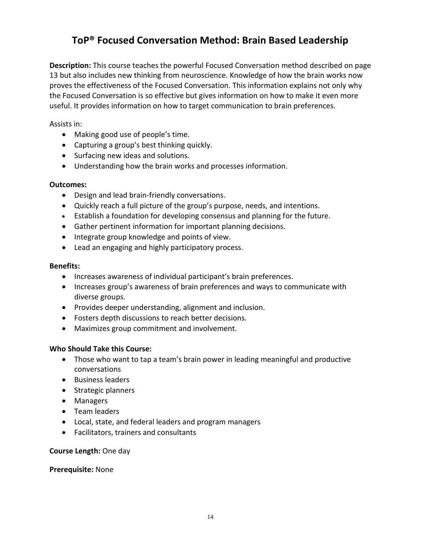### **ToP® Focused Conversation Method: Brain Based Leadership**

**Description:** This course teaches the powerful Focused Conversation method described on page 13 but also includes new thinking from neuroscience. Knowledge of how the brain works now proves the effectiveness of the Focused Conversation. This information explains not only why the Focused Conversation is so effective but gives information on how to make it even more useful. It provides information on how to target communication to brain preferences.

Assists in:

- Making good use of people's time.
- Capturing a group's best thinking quickly.
- Surfacing new ideas and solutions.
- Understanding how the brain works and processes information.

#### **Outcomes:**

- Design and lead brain-friendly conversations.
- Quickly reach a full picture of the group's purpose, needs, and intentions.
- Establish a foundation for developing consensus and planning for the future.
- Gather pertinent information for important planning decisions.
- Integrate group knowledge and points of view.
- Lead an engaging and highly participatory process.

#### **Benefits:**

- Increases awareness of individual participant's brain preferences.
- Increases group's awareness of brain preferences and ways to communicate with diverse groups.
- Provides deeper understanding, alignment and inclusion.
- Fosters depth discussions to reach better decisions.
- Maximizes group commitment and involvement.

#### **Who Should Take this Course:**

- Those who want to tap a team's brain power in leading meaningful and productive conversations
- Business leaders
- Strategic planners
- Managers
- Team leaders
- Local, state, and federal leaders and program managers
- Facilitators, trainers and consultants

#### **Course Length:** One day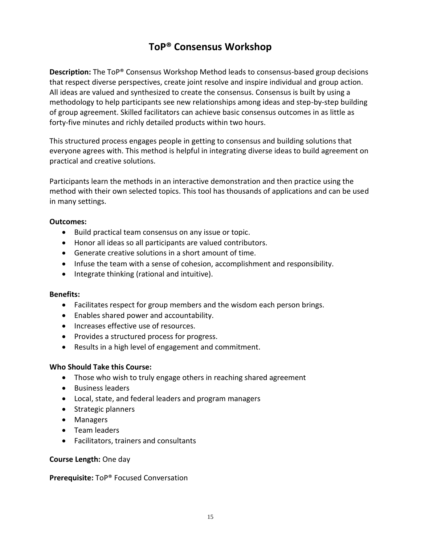# **ToP® Consensus Workshop**

**Description:** The ToP® Consensus Workshop Method leads to consensus-based group decisions that respect diverse perspectives, create joint resolve and inspire individual and group action. All ideas are valued and synthesized to create the consensus. Consensus is built by using a methodology to help participants see new relationships among ideas and step-by-step building of group agreement. Skilled facilitators can achieve basic consensus outcomes in as little as forty-five minutes and richly detailed products within two hours.

This structured process engages people in getting to consensus and building solutions that everyone agrees with. This method is helpful in integrating diverse ideas to build agreement on practical and creative solutions.

Participants learn the methods in an interactive demonstration and then practice using the method with their own selected topics. This tool has thousands of applications and can be used in many settings.

#### **Outcomes:**

- Build practical team consensus on any issue or topic.
- Honor all ideas so all participants are valued contributors.
- Generate creative solutions in a short amount of time.
- Infuse the team with a sense of cohesion, accomplishment and responsibility.
- Integrate thinking (rational and intuitive).

#### **Benefits:**

- Facilitates respect for group members and the wisdom each person brings.
- Enables shared power and accountability.
- Increases effective use of resources.
- Provides a structured process for progress.
- Results in a high level of engagement and commitment.

#### **Who Should Take this Course:**

- Those who wish to truly engage others in reaching shared agreement
- Business leaders
- Local, state, and federal leaders and program managers
- Strategic planners
- Managers
- Team leaders
- Facilitators, trainers and consultants

#### **Course Length:** One day

#### **Prerequisite:** ToP® Focused Conversation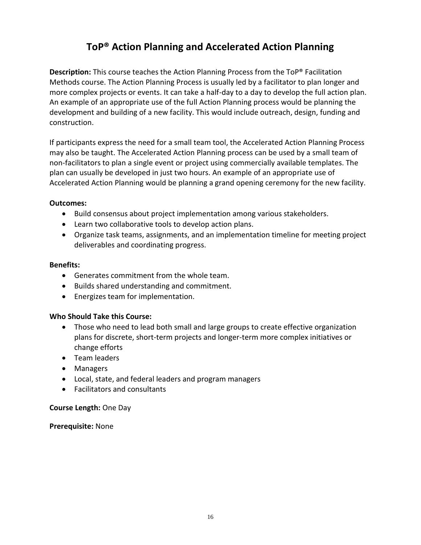## **ToP® Action Planning and Accelerated Action Planning**

**Description:** This course teaches the Action Planning Process from the ToP® Facilitation Methods course. The Action Planning Process is usually led by a facilitator to plan longer and more complex projects or events. It can take a half-day to a day to develop the full action plan. An example of an appropriate use of the full Action Planning process would be planning the development and building of a new facility. This would include outreach, design, funding and construction.

If participants express the need for a small team tool, the Accelerated Action Planning Process may also be taught. The Accelerated Action Planning process can be used by a small team of non-facilitators to plan a single event or project using commercially available templates. The plan can usually be developed in just two hours. An example of an appropriate use of Accelerated Action Planning would be planning a grand opening ceremony for the new facility.

#### **Outcomes:**

- Build consensus about project implementation among various stakeholders.
- Learn two collaborative tools to develop action plans.
- Organize task teams, assignments, and an implementation timeline for meeting project deliverables and coordinating progress.

#### **Benefits:**

- Generates commitment from the whole team.
- Builds shared understanding and commitment.
- Energizes team for implementation.

#### **Who Should Take this Course:**

- Those who need to lead both small and large groups to create effective organization plans for discrete, short-term projects and longer-term more complex initiatives or change efforts
- Team leaders
- Managers
- Local, state, and federal leaders and program managers
- Facilitators and consultants

#### **Course Length:** One Day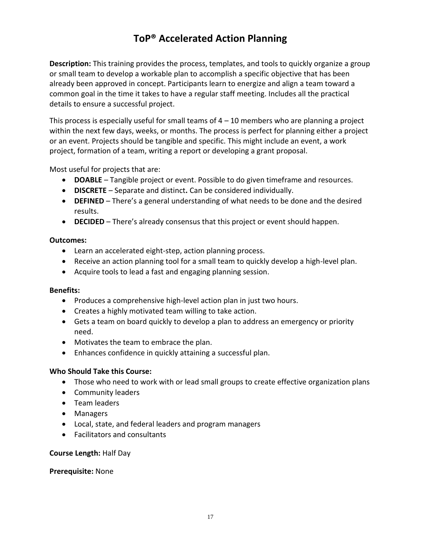# **ToP® Accelerated Action Planning**

**Description:** This training provides the process, templates, and tools to quickly organize a group or small team to develop a workable plan to accomplish a specific objective that has been already been approved in concept. Participants learn to energize and align a team toward a common goal in the time it takes to have a regular staff meeting. Includes all the practical details to ensure a successful project.

This process is especially useful for small teams of  $4 - 10$  members who are planning a project within the next few days, weeks, or months. The process is perfect for planning either a project or an event. Projects should be tangible and specific. This might include an event, a work project, formation of a team, writing a report or developing a grant proposal.

Most useful for projects that are:

- **DOABLE** Tangible project or event. Possible to do given timeframe and resources.
- **DISCRETE** Separate and distinct**.** Can be considered individually.
- **DEFINED** There's a general understanding of what needs to be done and the desired results.
- **DECIDED** There's already consensus that this project or event should happen.

#### **Outcomes:**

- Learn an accelerated eight-step, action planning process.
- Receive an action planning tool for a small team to quickly develop a high-level plan.
- Acquire tools to lead a fast and engaging planning session.

#### **Benefits:**

- Produces a comprehensive high-level action plan in just two hours.
- Creates a highly motivated team willing to take action.
- Gets a team on board quickly to develop a plan to address an emergency or priority need.
- Motivates the team to embrace the plan.
- Enhances confidence in quickly attaining a successful plan.

#### **Who Should Take this Course:**

- Those who need to work with or lead small groups to create effective organization plans
- Community leaders
- Team leaders
- Managers
- Local, state, and federal leaders and program managers
- Facilitators and consultants

#### **Course Length:** Half Day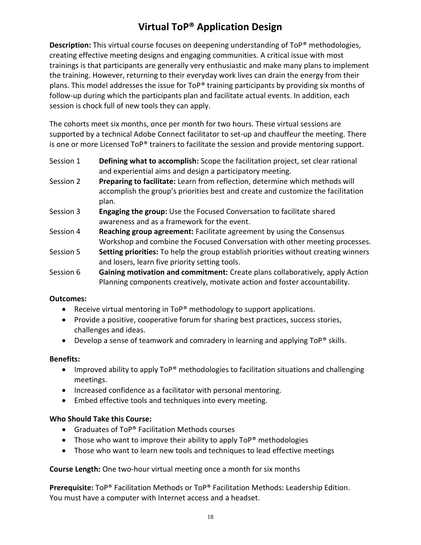# **Virtual ToP® Application Design**

**Description:** This virtual course focuses on deepening understanding of ToP® methodologies, creating effective meeting designs and engaging communities. A critical issue with most trainings is that participants are generally very enthusiastic and make many plans to implement the training. However, returning to their everyday work lives can drain the energy from their plans. This model addresses the issue for ToP<sup>®</sup> training participants by providing six months of follow-up during which the participants plan and facilitate actual events. In addition, each session is chock full of new tools they can apply.

The cohorts meet six months, once per month for two hours. These virtual sessions are supported by a technical Adobe Connect facilitator to set-up and chauffeur the meeting. There is one or more Licensed ToP® trainers to facilitate the session and provide mentoring support.

- Session 1 **Defining what to accomplish:** Scope the facilitation project, set clear rational and experiential aims and design a participatory meeting.
- Session 2 **Preparing to facilitate:** Learn from reflection, determine which methods will accomplish the group's priorities best and create and customize the facilitation plan.
- Session 3 **Engaging the group:** Use the Focused Conversation to facilitate shared awareness and as a framework for the event.
- Session 4 **Reaching group agreement:** Facilitate agreement by using the Consensus Workshop and combine the Focused Conversation with other meeting processes.
- Session 5 **Setting priorities:** To help the group establish priorities without creating winners and losers, learn five priority setting tools.
- Session 6 **Gaining motivation and commitment:** Create plans collaboratively, apply Action Planning components creatively, motivate action and foster accountability.

#### **Outcomes:**

- Receive virtual mentoring in ToP<sup>®</sup> methodology to support applications.
- Provide a positive, cooperative forum for sharing best practices, success stories, challenges and ideas.
- Develop a sense of teamwork and comradery in learning and applying ToP® skills.

#### **Benefits:**

- Improved ability to apply ToP® methodologies to facilitation situations and challenging meetings.
- Increased confidence as a facilitator with personal mentoring.
- Embed effective tools and techniques into every meeting.

#### **Who Should Take this Course:**

- Graduates of ToP® Facilitation Methods courses
- Those who want to improve their ability to apply  $\text{Top}^{\otimes}$  methodologies
- Those who want to learn new tools and techniques to lead effective meetings

#### **Course Length:** One two-hour virtual meeting once a month for six months

**Prerequisite:** ToP® Facilitation Methods or ToP® Facilitation Methods: Leadership Edition. You must have a computer with Internet access and a headset.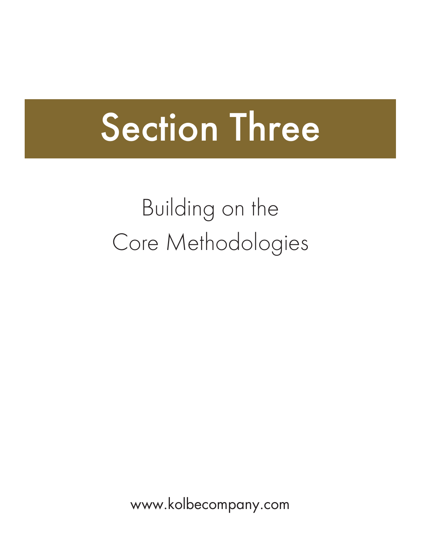# Section Three

Building on the Core Methodologies

www.kolbecompany.com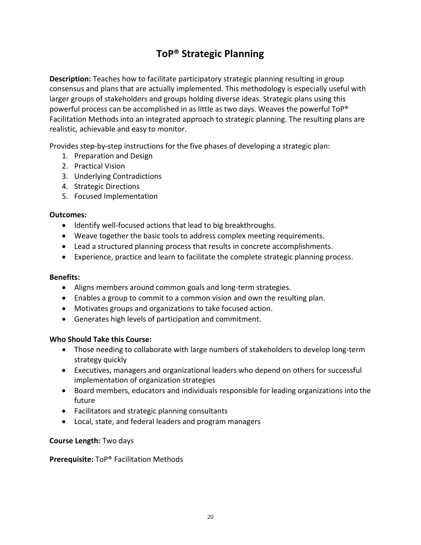# **ToP® Strategic Planning**

**Description:** Teaches how to facilitate participatory strategic planning resulting in group consensus and plans that are actually implemented. This methodology is especially useful with larger groups of stakeholders and groups holding diverse ideas. Strategic plans using this powerful process can be accomplished in as little as two days. Weaves the powerful ToP® Facilitation Methods into an integrated approach to strategic planning. The resulting plans are realistic, achievable and easy to monitor.

Provides step-by-step instructions for the five phases of developing a strategic plan:

- 1. Preparation and Design
- 2. Practical Vision
- 3. Underlying Contradictions
- 4. Strategic Directions
- 5. Focused Implementation

#### **Outcomes:**

- Identify well-focused actions that lead to big breakthroughs.
- Weave together the basic tools to address complex meeting requirements.
- Lead a structured planning process that results in concrete accomplishments.
- Experience, practice and learn to facilitate the complete strategic planning process.

#### **Benefits:**

- Aligns members around common goals and long-term strategies.
- Enables a group to commit to a common vision and own the resulting plan.
- Motivates groups and organizations to take focused action.
- Generates high levels of participation and commitment.

#### **Who Should Take this Course:**

- Those needing to collaborate with large numbers of stakeholders to develop long-term strategy quickly
- Executives, managers and organizational leaders who depend on others for successful implementation of organization strategies
- Board members, educators and individuals responsible for leading organizations into the future
- Facilitators and strategic planning consultants
- Local, state, and federal leaders and program managers

#### **Course Length:** Two days

#### **Prerequisite:** ToP® Facilitation Methods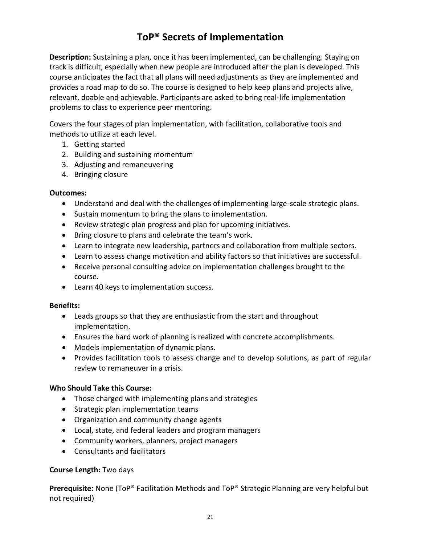# **ToP® Secrets of Implementation**

**Description:** Sustaining a plan, once it has been implemented, can be challenging. Staying on track is difficult, especially when new people are introduced after the plan is developed. This course anticipates the fact that all plans will need adjustments as they are implemented and provides a road map to do so. The course is designed to help keep plans and projects alive, relevant, doable and achievable. Participants are asked to bring real-life implementation problems to class to experience peer mentoring.

Covers the four stages of plan implementation, with facilitation, collaborative tools and methods to utilize at each level.

- 1. Getting started
- 2. Building and sustaining momentum
- 3. Adjusting and remaneuvering
- 4. Bringing closure

#### **Outcomes:**

- Understand and deal with the challenges of implementing large-scale strategic plans.
- Sustain momentum to bring the plans to implementation.
- Review strategic plan progress and plan for upcoming initiatives.
- Bring closure to plans and celebrate the team's work.
- Learn to integrate new leadership, partners and collaboration from multiple sectors.
- Learn to assess change motivation and ability factors so that initiatives are successful.
- Receive personal consulting advice on implementation challenges brought to the course.
- Learn 40 keys to implementation success.

#### **Benefits:**

- Leads groups so that they are enthusiastic from the start and throughout implementation.
- Ensures the hard work of planning is realized with concrete accomplishments.
- Models implementation of dynamic plans.
- Provides facilitation tools to assess change and to develop solutions, as part of regular review to remaneuver in a crisis.

#### **Who Should Take this Course:**

- Those charged with implementing plans and strategies
- Strategic plan implementation teams
- Organization and community change agents
- Local, state, and federal leaders and program managers
- Community workers, planners, project managers
- Consultants and facilitators

#### **Course Length:** Two days

**Prerequisite:** None (ToP® Facilitation Methods and ToP® Strategic Planning are very helpful but not required)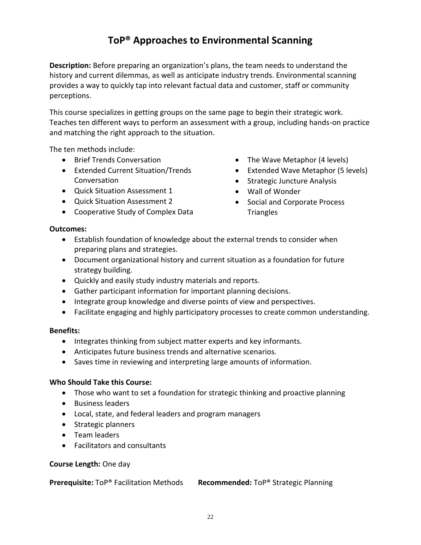# **ToP® Approaches to Environmental Scanning**

**Description:** Before preparing an organization's plans, the team needs to understand the history and current dilemmas, as well as anticipate industry trends. Environmental scanning provides a way to quickly tap into relevant factual data and customer, staff or community perceptions.

This course specializes in getting groups on the same page to begin their strategic work. Teaches ten different ways to perform an assessment with a group, including hands-on practice and matching the right approach to the situation.

The ten methods include:

- Brief Trends Conversation
- Extended Current Situation/Trends Conversation
- Quick Situation Assessment 1
- Quick Situation Assessment 2
- Cooperative Study of Complex Data
- The Wave Metaphor (4 levels)
- Extended Wave Metaphor (5 levels)
- Strategic Juncture Analysis
- Wall of Wonder
- Social and Corporate Process **Triangles**

#### **Outcomes:**

- Establish foundation of knowledge about the external trends to consider when preparing plans and strategies.
- Document organizational history and current situation as a foundation for future strategy building.
- Quickly and easily study industry materials and reports.
- Gather participant information for important planning decisions.
- Integrate group knowledge and diverse points of view and perspectives.
- Facilitate engaging and highly participatory processes to create common understanding.

#### **Benefits:**

- Integrates thinking from subject matter experts and key informants.
- Anticipates future business trends and alternative scenarios.
- Saves time in reviewing and interpreting large amounts of information.

#### **Who Should Take this Course:**

- Those who want to set a foundation for strategic thinking and proactive planning
- Business leaders
- Local, state, and federal leaders and program managers
- Strategic planners
- Team leaders
- Facilitators and consultants

#### **Course Length:** One day

**Prerequisite:** ToP® Facilitation Methods **Recommended:** ToP® Strategic Planning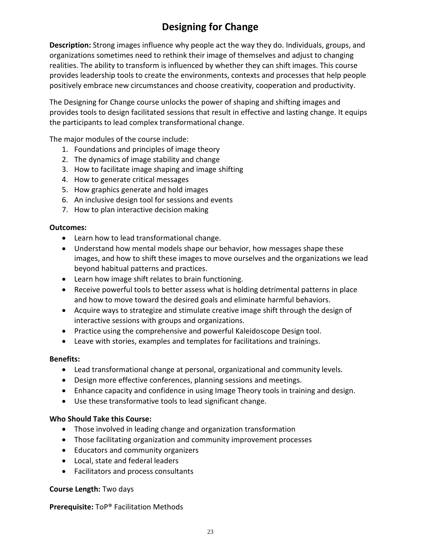# **Designing for Change**

**Description:** Strong images influence why people act the way they do. Individuals, groups, and organizations sometimes need to rethink their image of themselves and adjust to changing realities. The ability to transform is influenced by whether they can shift images. This course provides leadership tools to create the environments, contexts and processes that help people positively embrace new circumstances and choose creativity, cooperation and productivity.

The Designing for Change course unlocks the power of shaping and shifting images and provides tools to design facilitated sessions that result in effective and lasting change. It equips the participants to lead complex transformational change.

The major modules of the course include:

- 1. Foundations and principles of image theory
- 2. The dynamics of image stability and change
- 3. How to facilitate image shaping and image shifting
- 4. How to generate critical messages
- 5. How graphics generate and hold images
- 6. An inclusive design tool for sessions and events
- 7. How to plan interactive decision making

#### **Outcomes:**

- Learn how to lead transformational change.
- Understand how mental models shape our behavior, how messages shape these images, and how to shift these images to move ourselves and the organizations we lead beyond habitual patterns and practices.
- Learn how image shift relates to brain functioning.
- Receive powerful tools to better assess what is holding detrimental patterns in place and how to move toward the desired goals and eliminate harmful behaviors.
- Acquire ways to strategize and stimulate creative image shift through the design of interactive sessions with groups and organizations.
- Practice using the comprehensive and powerful Kaleidoscope Design tool.
- Leave with stories, examples and templates for facilitations and trainings.

#### **Benefits:**

- Lead transformational change at personal, organizational and community levels.
- Design more effective conferences, planning sessions and meetings.
- Enhance capacity and confidence in using Image Theory tools in training and design.
- Use these transformative tools to lead significant change.

#### **Who Should Take this Course:**

- Those involved in leading change and organization transformation
- Those facilitating organization and community improvement processes
- Educators and community organizers
- Local, state and federal leaders
- Facilitators and process consultants

#### **Course Length:** Two days

**Prerequisite:** ToP® Facilitation Methods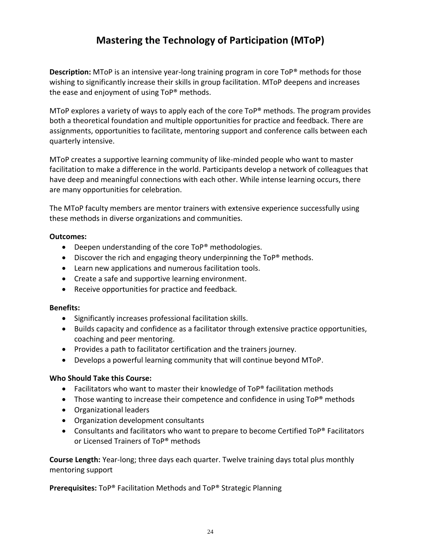# **Mastering the Technology of Participation (MToP)**

**Description:** MToP is an intensive year-long training program in core ToP® methods for those wishing to significantly increase their skills in group facilitation. MToP deepens and increases the ease and enjoyment of using ToP® methods.

MToP explores a variety of ways to apply each of the core ToP® methods. The program provides both a theoretical foundation and multiple opportunities for practice and feedback. There are assignments, opportunities to facilitate, mentoring support and conference calls between each quarterly intensive.

MToP creates a supportive learning community of like-minded people who want to master facilitation to make a difference in the world. Participants develop a network of colleagues that have deep and meaningful connections with each other. While intense learning occurs, there are many opportunities for celebration.

The MToP faculty members are mentor trainers with extensive experience successfully using these methods in diverse organizations and communities.

#### **Outcomes:**

- Deepen understanding of the core ToP® methodologies.
- Discover the rich and engaging theory underpinning the ToP® methods.
- Learn new applications and numerous facilitation tools.
- Create a safe and supportive learning environment.
- Receive opportunities for practice and feedback.

#### **Benefits:**

- Significantly increases professional facilitation skills.
- Builds capacity and confidence as a facilitator through extensive practice opportunities, coaching and peer mentoring.
- Provides a path to facilitator certification and the trainers journey.
- Develops a powerful learning community that will continue beyond MToP.

#### **Who Should Take this Course:**

- Facilitators who want to master their knowledge of ToP® facilitation methods
- Those wanting to increase their competence and confidence in using ToP<sup>®</sup> methods
- Organizational leaders
- Organization development consultants
- Consultants and facilitators who want to prepare to become Certified ToP® Facilitators or Licensed Trainers of ToP® methods

**Course Length:** Year-long; three days each quarter. Twelve training days total plus monthly mentoring support

**Prerequisites:** ToP® Facilitation Methods and ToP® Strategic Planning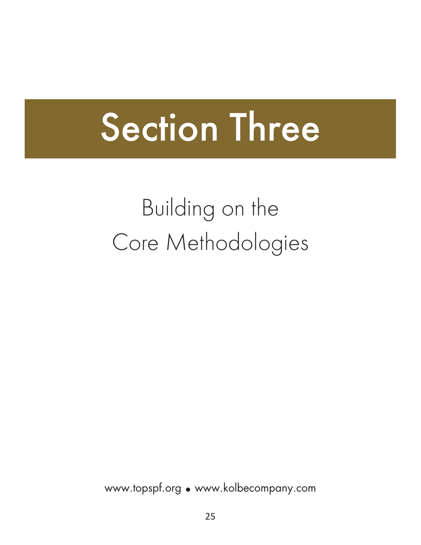# Section Three

# Building on the Core Methodologies

www.topspf.org • www.kolbecompany.com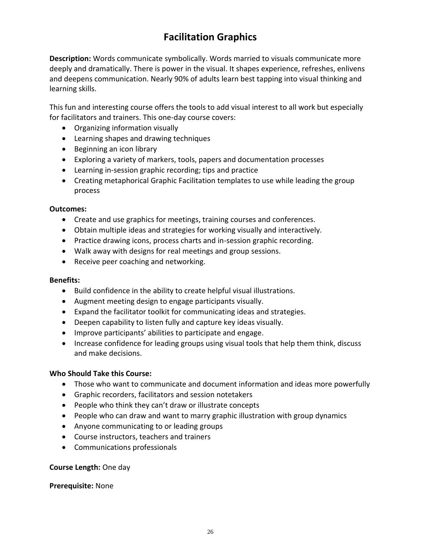# **Facilitation Graphics**

**Description:** Words communicate symbolically. Words married to visuals communicate more deeply and dramatically. There is power in the visual. It shapes experience, refreshes, enlivens and deepens communication. Nearly 90% of adults learn best tapping into visual thinking and learning skills.

This fun and interesting course offers the tools to add visual interest to all work but especially for facilitators and trainers. This one-day course covers:

- Organizing information visually
- Learning shapes and drawing techniques
- Beginning an icon library
- Exploring a variety of markers, tools, papers and documentation processes
- Learning in-session graphic recording; tips and practice
- Creating metaphorical Graphic Facilitation templates to use while leading the group process

#### **Outcomes:**

- Create and use graphics for meetings, training courses and conferences.
- Obtain multiple ideas and strategies for working visually and interactively.
- Practice drawing icons, process charts and in-session graphic recording.
- Walk away with designs for real meetings and group sessions.
- Receive peer coaching and networking.

#### **Benefits:**

- Build confidence in the ability to create helpful visual illustrations.
- Augment meeting design to engage participants visually.
- Expand the facilitator toolkit for communicating ideas and strategies.
- Deepen capability to listen fully and capture key ideas visually.
- Improve participants' abilities to participate and engage.
- Increase confidence for leading groups using visual tools that help them think, discuss and make decisions.

#### **Who Should Take this Course:**

- Those who want to communicate and document information and ideas more powerfully
- Graphic recorders, facilitators and session notetakers
- People who think they can't draw or illustrate concepts
- People who can draw and want to marry graphic illustration with group dynamics
- Anyone communicating to or leading groups
- Course instructors, teachers and trainers
- Communications professionals

#### **Course Length:** One day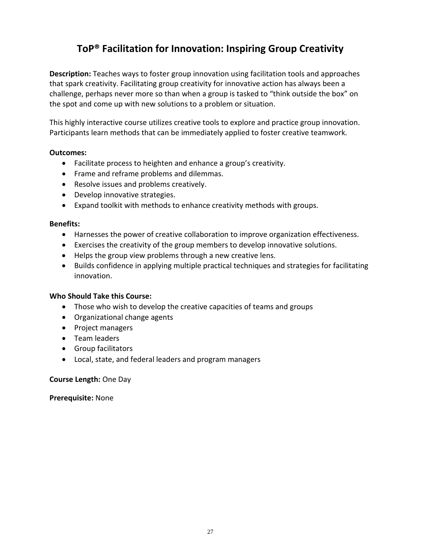# **ToP® Facilitation for Innovation: Inspiring Group Creativity**

**Description:** Teaches ways to foster group innovation using facilitation tools and approaches that spark creativity. Facilitating group creativity for innovative action has always been a challenge, perhaps never more so than when a group is tasked to "think outside the box" on the spot and come up with new solutions to a problem or situation.

This highly interactive course utilizes creative tools to explore and practice group innovation. Participants learn methods that can be immediately applied to foster creative teamwork.

#### **Outcomes:**

- Facilitate process to heighten and enhance a group's creativity.
- Frame and reframe problems and dilemmas.
- Resolve issues and problems creatively.
- Develop innovative strategies.
- Expand toolkit with methods to enhance creativity methods with groups.

#### **Benefits:**

- Harnesses the power of creative collaboration to improve organization effectiveness.
- Exercises the creativity of the group members to develop innovative solutions.
- Helps the group view problems through a new creative lens.
- Builds confidence in applying multiple practical techniques and strategies for facilitating innovation.

#### **Who Should Take this Course:**

- Those who wish to develop the creative capacities of teams and groups
- Organizational change agents
- Project managers
- Team leaders
- Group facilitators
- Local, state, and federal leaders and program managers

#### **Course Length:** One Day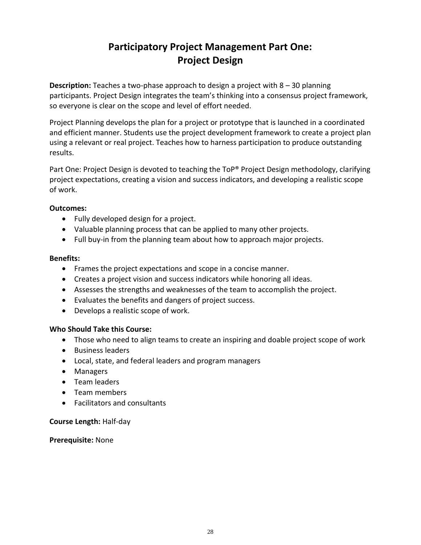# **Participatory Project Management Part One: Project Design**

**Description:** Teaches a two-phase approach to design a project with 8 – 30 planning participants. Project Design integrates the team's thinking into a consensus project framework, so everyone is clear on the scope and level of effort needed.

Project Planning develops the plan for a project or prototype that is launched in a coordinated and efficient manner. Students use the project development framework to create a project plan using a relevant or real project. Teaches how to harness participation to produce outstanding results.

Part One: Project Design is devoted to teaching the ToP® Project Design methodology, clarifying project expectations, creating a vision and success indicators, and developing a realistic scope of work.

#### **Outcomes:**

- Fully developed design for a project.
- Valuable planning process that can be applied to many other projects.
- Full buy-in from the planning team about how to approach major projects.

#### **Benefits:**

- Frames the project expectations and scope in a concise manner.
- Creates a project vision and success indicators while honoring all ideas.
- Assesses the strengths and weaknesses of the team to accomplish the project.
- Evaluates the benefits and dangers of project success.
- Develops a realistic scope of work.

#### **Who Should Take this Course:**

- Those who need to align teams to create an inspiring and doable project scope of work
- Business leaders
- Local, state, and federal leaders and program managers
- Managers
- Team leaders
- Team members
- Facilitators and consultants

#### **Course Length:** Half-day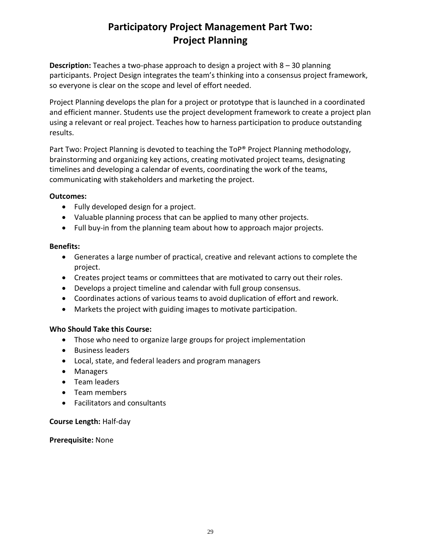# **Participatory Project Management Part Two: Project Planning**

**Description:** Teaches a two-phase approach to design a project with 8 – 30 planning participants. Project Design integrates the team's thinking into a consensus project framework, so everyone is clear on the scope and level of effort needed.

Project Planning develops the plan for a project or prototype that is launched in a coordinated and efficient manner. Students use the project development framework to create a project plan using a relevant or real project. Teaches how to harness participation to produce outstanding results.

Part Two: Project Planning is devoted to teaching the ToP® Project Planning methodology, brainstorming and organizing key actions, creating motivated project teams, designating timelines and developing a calendar of events, coordinating the work of the teams, communicating with stakeholders and marketing the project.

#### **Outcomes:**

- Fully developed design for a project.
- Valuable planning process that can be applied to many other projects.
- Full buy-in from the planning team about how to approach major projects.

#### **Benefits:**

- Generates a large number of practical, creative and relevant actions to complete the project.
- Creates project teams or committees that are motivated to carry out their roles.
- Develops a project timeline and calendar with full group consensus.
- Coordinates actions of various teams to avoid duplication of effort and rework.
- Markets the project with guiding images to motivate participation.

#### **Who Should Take this Course:**

- Those who need to organize large groups for project implementation
- Business leaders
- Local, state, and federal leaders and program managers
- Managers
- Team leaders
- Team members
- Facilitators and consultants

#### **Course Length:** Half-day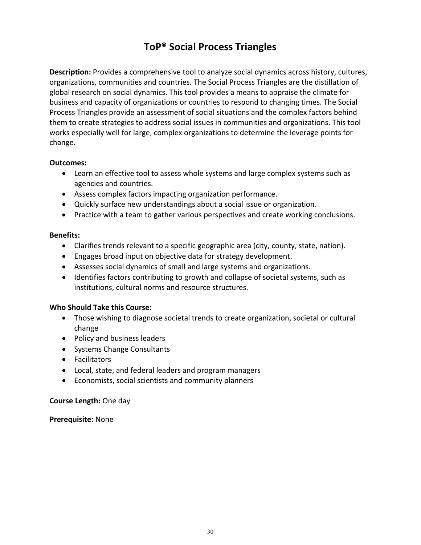# **ToP® Social Process Triangles**

**Description:** Provides a comprehensive tool to analyze social dynamics across history, cultures, organizations, communities and countries. The Social Process Triangles are the distillation of global research on social dynamics. This tool provides a means to appraise the climate for business and capacity of organizations or countries to respond to changing times. The Social Process Triangles provide an assessment of social situations and the complex factors behind them to create strategies to address social issues in communities and organizations. This tool works especially well for large, complex organizations to determine the leverage points for change.

#### **Outcomes:**

- Learn an effective tool to assess whole systems and large complex systems such as agencies and countries.
- Assess complex factors impacting organization performance.
- Quickly surface new understandings about a social issue or organization.
- Practice with a team to gather various perspectives and create working conclusions.

#### **Benefits:**

- Clarifies trends relevant to a specific geographic area (city, county, state, nation).
- Engages broad input on objective data for strategy development.
- Assesses social dynamics of small and large systems and organizations.
- Identifies factors contributing to growth and collapse of societal systems, such as institutions, cultural norms and resource structures.

#### **Who Should Take this Course:**

- Those wishing to diagnose societal trends to create organization, societal or cultural change
- Policy and business leaders
- Systems Change Consultants
- Facilitators
- Local, state, and federal leaders and program managers
- Economists, social scientists and community planners

#### **Course Length:** One day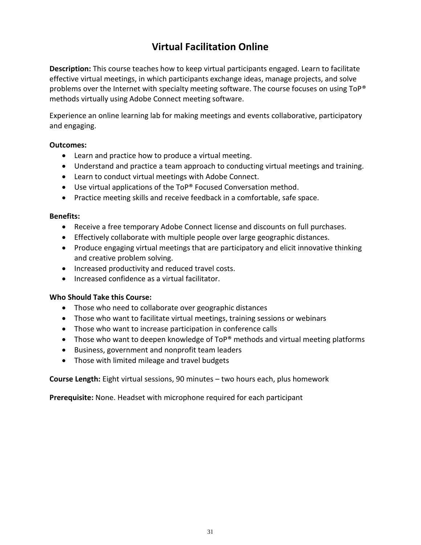# **Virtual Facilitation Online**

**Description:** This course teaches how to keep virtual participants engaged. Learn to facilitate effective virtual meetings, in which participants exchange ideas, manage projects, and solve problems over the Internet with specialty meeting software. The course focuses on using ToP<sup>®</sup> methods virtually using Adobe Connect meeting software.

Experience an online learning lab for making meetings and events collaborative, participatory and engaging.

#### **Outcomes:**

- Learn and practice how to produce a virtual meeting.
- Understand and practice a team approach to conducting virtual meetings and training.
- Learn to conduct virtual meetings with Adobe Connect.
- Use virtual applications of the ToP® Focused Conversation method.
- Practice meeting skills and receive feedback in a comfortable, safe space.

#### **Benefits:**

- Receive a free temporary Adobe Connect license and discounts on full purchases.
- Effectively collaborate with multiple people over large geographic distances.
- Produce engaging virtual meetings that are participatory and elicit innovative thinking and creative problem solving.
- Increased productivity and reduced travel costs.
- Increased confidence as a virtual facilitator.

#### **Who Should Take this Course:**

- Those who need to collaborate over geographic distances
- Those who want to facilitate virtual meetings, training sessions or webinars
- Those who want to increase participation in conference calls
- Those who want to deepen knowledge of ToP<sup>®</sup> methods and virtual meeting platforms
- Business, government and nonprofit team leaders
- Those with limited mileage and travel budgets

**Course Length:** Eight virtual sessions, 90 minutes – two hours each, plus homework

**Prerequisite:** None. Headset with microphone required for each participant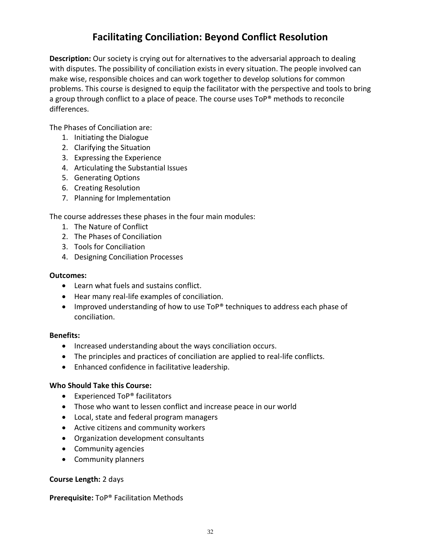# **Facilitating Conciliation: Beyond Conflict Resolution**

**Description:** Our society is crying out for alternatives to the adversarial approach to dealing with disputes. The possibility of conciliation exists in every situation. The people involved can make wise, responsible choices and can work together to develop solutions for common problems. This course is designed to equip the facilitator with the perspective and tools to bring a group through conflict to a place of peace. The course uses ToP® methods to reconcile differences.

The Phases of Conciliation are:

- 1. Initiating the Dialogue
- 2. Clarifying the Situation
- 3. Expressing the Experience
- 4. Articulating the Substantial Issues
- 5. Generating Options
- 6. Creating Resolution
- 7. Planning for Implementation

The course addresses these phases in the four main modules:

- 1. The Nature of Conflict
- 2. The Phases of Conciliation
- 3. Tools for Conciliation
- 4. Designing Conciliation Processes

#### **Outcomes:**

- Learn what fuels and sustains conflict.
- Hear many real-life examples of conciliation.
- Improved understanding of how to use ToP® techniques to address each phase of conciliation.

#### **Benefits:**

- Increased understanding about the ways conciliation occurs.
- The principles and practices of conciliation are applied to real-life conflicts.
- Enhanced confidence in facilitative leadership.

#### **Who Should Take this Course:**

- Experienced ToP® facilitators
- Those who want to lessen conflict and increase peace in our world
- Local, state and federal program managers
- Active citizens and community workers
- Organization development consultants
- Community agencies
- Community planners

#### **Course Length:** 2 days

#### **Prerequisite:** ToP® Facilitation Methods